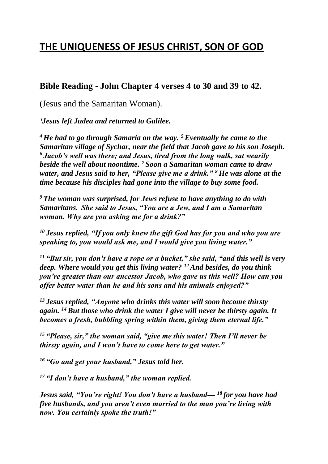## **THE UNIQUENESS OF JESUS CHRIST, SON OF GOD**

## **Bible Reading - John Chapter 4 verses 4 to 30 and 39 to 42.**

(Jesus and the Samaritan Woman).

*'Jesus left Judea and returned to Galilee.*

*<sup>4</sup> He had to go through Samaria on the way. <sup>5</sup>Eventually he came to the Samaritan village of Sychar, near the field that Jacob gave to his son Joseph. <sup>6</sup> Jacob's well was there; and Jesus, tired from the long walk, sat wearily beside the well about noontime. <sup>7</sup> Soon a Samaritan woman came to draw water, and Jesus said to her, "Please give me a drink." <sup>8</sup> He was alone at the time because his disciples had gone into the village to buy some food.*

*<sup>9</sup> The woman was surprised, for Jews refuse to have anything to do with Samaritans. She said to Jesus, "You are a Jew, and I am a Samaritan woman. Why are you asking me for a drink?"*

*<sup>10</sup> Jesus replied, "If you only knew the gift God has for you and who you are speaking to, you would ask me, and I would give you living water."*

*<sup>11</sup> "But sir, you don't have a rope or a bucket," she said, "and this well is very deep. Where would you get this living water? <sup>12</sup>And besides, do you think you're greater than our ancestor Jacob, who gave us this well? How can you offer better water than he and his sons and his animals enjoyed?"*

*<sup>13</sup> Jesus replied, "Anyone who drinks this water will soon become thirsty again. <sup>14</sup> But those who drink the water I give will never be thirsty again. It becomes a fresh, bubbling spring within them, giving them eternal life."*

*<sup>15</sup> "Please, sir," the woman said, "give me this water! Then I'll never be thirsty again, and I won't have to come here to get water."*

*<sup>16</sup> "Go and get your husband," Jesus told her.*

*<sup>17</sup> "I don't have a husband," the woman replied.*

*Jesus said, "You're right! You don't have a husband— <sup>18</sup> for you have had five husbands, and you aren't even married to the man you're living with now. You certainly spoke the truth!"*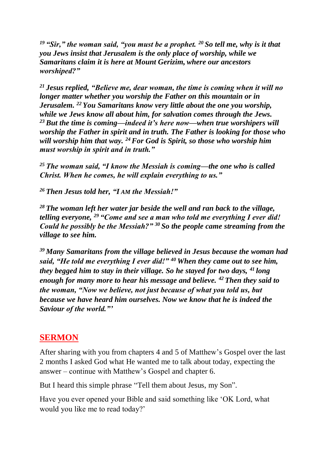*<sup>19</sup> "Sir," the woman said, "you must be a prophet. <sup>20</sup> So tell me, why is it that you Jews insist that Jerusalem is the only place of worship, while we Samaritans claim it is here at Mount Gerizim, where our ancestors worshiped?"*

*<sup>21</sup> Jesus replied, "Believe me, dear woman, the time is coming when it will no longer matter whether you worship the Father on this mountain or in Jerusalem. <sup>22</sup> You Samaritans know very little about the one you worship, while we Jews know all about him, for salvation comes through the Jews. <sup>23</sup> But the time is coming—indeed it's here now—when true worshipers will worship the Father in spirit and in truth. The Father is looking for those who will worship him that way. <sup>24</sup>For God is Spirit, so those who worship him must worship in spirit and in truth."*

*<sup>25</sup> The woman said, "I know the Messiah is coming—the one who is called Christ. When he comes, he will explain everything to us."*

*<sup>26</sup> Then Jesus told her, "I AM the Messiah!"*

*<sup>28</sup> The woman left her water jar beside the well and ran back to the village, telling everyone, <sup>29</sup> "Come and see a man who told me everything I ever did! Could he possibly be the Messiah?" <sup>30</sup> So the people came streaming from the village to see him.*

*<sup>39</sup> Many Samaritans from the village believed in Jesus because the woman had said, "He told me everything I ever did!" <sup>40</sup> When they came out to see him, they begged him to stay in their village. So he stayed for two days, <sup>41</sup> long enough for many more to hear his message and believe. <sup>42</sup> Then they said to the woman, "Now we believe, not just because of what you told us, but because we have heard him ourselves. Now we know that he is indeed the Saviour of the world."'*

## **SERMON**

After sharing with you from chapters 4 and 5 of Matthew's Gospel over the last 2 months I asked God what He wanted me to talk about today, expecting the answer – continue with Matthew's Gospel and chapter 6.

But I heard this simple phrase "Tell them about Jesus, my Son".

Have you ever opened your Bible and said something like 'OK Lord, what would you like me to read today?'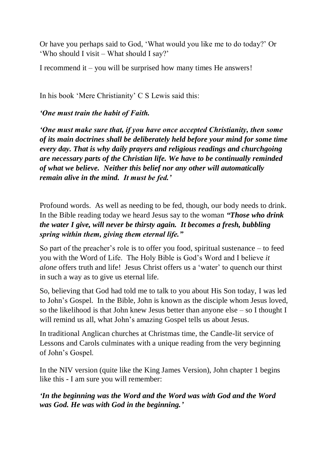Or have you perhaps said to God, 'What would you like me to do today?' Or 'Who should I visit – What should I say?'

I recommend it – you will be surprised how many times He answers!

In his book 'Mere Christianity' C S Lewis said this:

*'One must train the habit of Faith.*

*'One must make sure that, if you have once accepted Christianity, then some of its main doctrines shall be deliberately held before your mind for some time every day. That is why daily prayers and religious readings and churchgoing are necessary parts of the Christian life. We have to be continually reminded of what we believe. Neither this belief nor any other will automatically remain alive in the mind. It must be fed.'*

Profound words. As well as needing to be fed, though, our body needs to drink. In the Bible reading today we heard Jesus say to the woman *"Those who drink the water I give, will never be thirsty again. It becomes a fresh, bubbling spring within them, giving them eternal life."*

So part of the preacher's role is to offer you food, spiritual sustenance – to feed you with the Word of Life. The Holy Bible is God's Word and I believe *it alone* offers truth and life! Jesus Christ offers us a 'water' to quench our thirst in such a way as to give us eternal life.

So, believing that God had told me to talk to you about His Son today, I was led to John's Gospel. In the Bible, John is known as the disciple whom Jesus loved, so the likelihood is that John knew Jesus better than anyone else – so I thought I will remind us all, what John's amazing Gospel tells us about Jesus.

In traditional Anglican churches at Christmas time, the Candle-lit service of Lessons and Carols culminates with a unique reading from the very beginning of John's Gospel.

In the NIV version (quite like the King James Version), John chapter 1 begins like this - I am sure you will remember:

*'In the beginning was the Word and the Word was with God and the Word was God. He was with God in the beginning.'*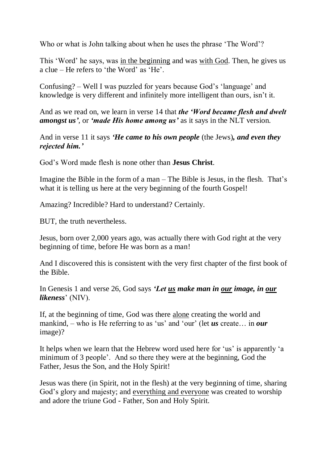Who or what is John talking about when he uses the phrase 'The Word'?

This 'Word' he says, was in the beginning and was with God. Then, he gives us a clue – He refers to 'the Word' as 'He'.

Confusing? – Well I was puzzled for years because God's 'language' and knowledge is very different and infinitely more intelligent than ours, isn't it.

And as we read on, we learn in verse 14 that *the 'Word became flesh and dwelt amongst us'*, or *'made His home among us'* as it says in the NLT version.

And in verse 11 it says *'He came to his own people* (the Jews)*, and even they rejected him.'*

God's Word made flesh is none other than **Jesus Christ**.

Imagine the Bible in the form of a man – The Bible is Jesus, in the flesh. That's what it is telling us here at the very beginning of the fourth Gospel!

Amazing? Incredible? Hard to understand? Certainly.

BUT, the truth nevertheless.

Jesus, born over 2,000 years ago, was actually there with God right at the very beginning of time, before He was born as a man!

And I discovered this is consistent with the very first chapter of the first book of the Bible.

In Genesis 1 and verse 26, God says *'Let us make man in our image, in our likeness*' (NIV).

If, at the beginning of time, God was there alone creating the world and mankind, – who is He referring to as 'us' and 'our' (let *us* create… in *our* image)?

It helps when we learn that the Hebrew word used here for 'us' is apparently 'a minimum of 3 people'. And so there they were at the beginning, God the Father, Jesus the Son, and the Holy Spirit!

Jesus was there (in Spirit, not in the flesh) at the very beginning of time, sharing God's glory and majesty; and everything and everyone was created to worship and adore the triune God - Father, Son and Holy Spirit.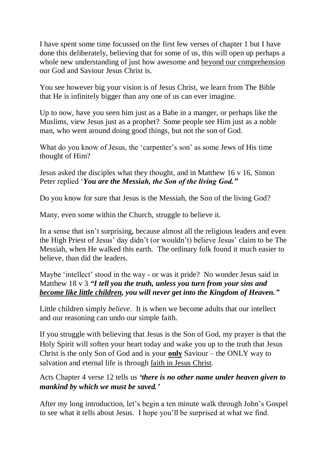I have spent some time focussed on the first few verses of chapter 1 but I have done this deliberately, believing that for some of us, this will open up perhaps a whole new understanding of just how awesome and beyond our comprehension our God and Saviour Jesus Christ is.

You see however big your vision is of Jesus Christ, we learn from The Bible that He is infinitely bigger than any one of us can ever imagine.

Up to now, have you seen him just as a Babe in a manger, or perhaps like the Muslims, view Jesus just as a prophet? Some people see Him just as a noble man, who went around doing good things, but not the son of God.

What do you know of Jesus, the 'carpenter's son' as some Jews of His time thought of Him?

Jesus asked the disciples what they thought, and in Matthew 16 v 16, Simon Peter replied '*You are the Messiah, the Son of the living God."*

Do you know for sure that Jesus is the Messiah, the Son of the living God?

Many, even some within the Church, struggle to believe it.

In a sense that isn't surprising, because almost all the religious leaders and even the High Priest of Jesus' day didn't (or wouldn't) believe Jesus' claim to be The Messiah, when He walked this earth. The ordinary folk found it much easier to believe, than did the leaders.

Maybe 'intellect' stood in the way - or was it pride? No wonder Jesus said in Matthew 18 v 3 *"I tell you the truth, unless you turn from your sins and become like little children, you will never get into the Kingdom of Heaven."*

Little children simply *believe*. It is when we become adults that our intellect and our reasoning can undo our simple faith.

If you struggle with believing that Jesus is the Son of God, my prayer is that the Holy Spirit will soften your heart today and wake you up to the truth that Jesus Christ is the only Son of God and is your **only** Saviour – the ONLY way to salvation and eternal life is through faith in Jesus Christ.

Acts Chapter 4 verse 12 tells us *'there is no other name under heaven given to mankind by which we must be saved.'*

After my long introduction, let's begin a ten minute walk through John's Gospel to see what it tells about Jesus. I hope you'll be surprised at what we find.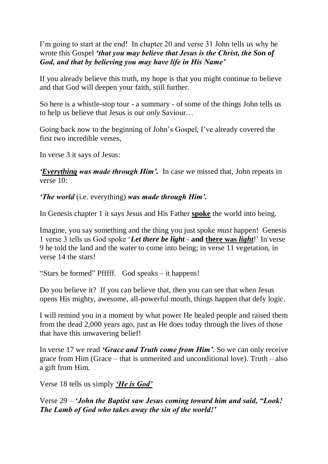I'm going to start at the end! In chapter 20 and verse 31 John tells us why he wrote this Gospel *'that you may believe that Jesus is the Christ, the Son of God, and that by believing you may have life in His Name'*

If you already believe this truth, my hope is that you might continue to believe and that God will deepen your faith, still further.

So here is a whistle-stop tour - a summary - of some of the things John tells us to help us believe that Jesus is our *only* Saviour…

Going back now to the beginning of John's Gospel, I've already covered the first two incredible verses,

In verse 3 it says of Jesus:

*'Everything was made through Him'.* In case we missed that, John repeats in verse 10:

*'The world* (i.e. everything) *was made through Him'.*

In Genesis chapter 1 it says Jesus and His Father **spoke** the world into being.

Imagine, you say something and the thing you just spoke *must* happen! Genesis 1 verse 3 tells us God spoke '*Let there be light* - **and there was** *light*!' In verse 9 he told the land and the water to come into being; in verse 11 vegetation, in verse 14 the stars!

"Stars be formed" Pfffff. God speaks – it happens!

Do you believe it? If you can believe that, then you can see that when Jesus opens His mighty, awesome, all-powerful mouth, things happen that defy logic.

I will remind you in a moment by what power He healed people and raised them from the dead 2,000 years ago, just as He does today through the lives of those that have this unwavering belief!

In verse 17 we read *'Grace and Truth come from Him'*. So we can only receive grace from Him (Grace – that is unmerited and unconditional love). Truth – also a gift from Him.

Verse 18 tells us simply *'He is God'*

Verse 29 – *'John the Baptist saw Jesus coming toward him and said, "Look! The Lamb of God who takes away the sin of the world!'*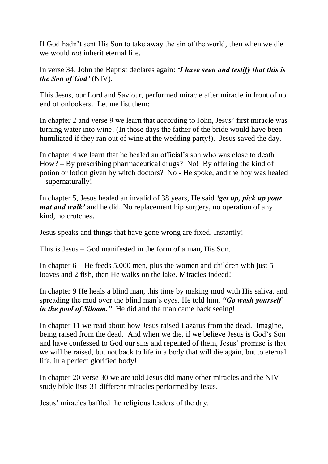If God hadn't sent His Son to take away the sin of the world, then when we die we would *not* inherit eternal life.

In verse 34, John the Baptist declares again: *'I have seen and testify that this is the Son of God'* (NIV).

This Jesus, our Lord and Saviour, performed miracle after miracle in front of no end of onlookers. Let me list them:

In chapter 2 and verse 9 we learn that according to John, Jesus' first miracle was turning water into wine! (In those days the father of the bride would have been humiliated if they ran out of wine at the wedding party!). Jesus saved the day.

In chapter 4 we learn that he healed an official's son who was close to death. How? – By prescribing pharmaceutical drugs? No! By offering the kind of potion or lotion given by witch doctors? No - He spoke, and the boy was healed – supernaturally!

In chapter 5, Jesus healed an invalid of 38 years, He said *'get up, pick up your mat and walk'* and he did. No replacement hip surgery, no operation of any kind, no crutches.

Jesus speaks and things that have gone wrong are fixed. Instantly!

This is Jesus – God manifested in the form of a man, His Son.

In chapter 6 – He feeds 5,000 men, plus the women and children with just 5 loaves and 2 fish, then He walks on the lake. Miracles indeed!

In chapter 9 He heals a blind man, this time by making mud with His saliva, and spreading the mud over the blind man's eyes. He told him, *"Go wash yourself in the pool of Siloam.*" He did and the man came back seeing!

In chapter 11 we read about how Jesus raised Lazarus from the dead. Imagine, being raised from the dead. And when we die, if we believe Jesus is God's Son and have confessed to God our sins and repented of them, Jesus' promise is that *we* will be raised, but not back to life in a body that will die again, but to eternal life, in a perfect glorified body!

In chapter 20 verse 30 we are told Jesus did many other miracles and the NIV study bible lists 31 different miracles performed by Jesus.

Jesus' miracles baffled the religious leaders of the day.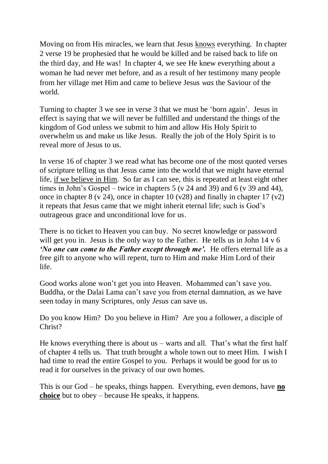Moving on from His miracles, we learn that Jesus knows everything. In chapter 2 verse 19 he prophesied that he would be killed and be raised back to life on the third day, and He was! In chapter 4, we see He knew everything about a woman he had never met before, and as a result of her testimony many people from her village met Him and came to believe Jesus *was* the Saviour of the world.

Turning to chapter 3 we see in verse 3 that we must be 'born again'. Jesus in effect is saying that we will never be fulfilled and understand the things of the kingdom of God unless we submit to him and allow His Holy Spirit to overwhelm us and make us like Jesus. Really the job of the Holy Spirit is to reveal more of Jesus to us.

In verse 16 of chapter 3 we read what has become one of the most quoted verses of scripture telling us that Jesus came into the world that we might have eternal life, if we believe in Him. So far as I can see, this is repeated at least eight other times in John's Gospel – twice in chapters  $5 (v 24$  and  $39)$  and  $6 (v 39$  and  $44)$ , once in chapter 8 (v 24), once in chapter 10 (v28) and finally in chapter 17 (v2) it repeats that Jesus came that we might inherit eternal life; such is God's outrageous grace and unconditional love for us.

There is no ticket to Heaven you can buy. No secret knowledge or password will get you in. Jesus is the only way to the Father. He tells us in John 14 v 6 *'No one can come to the Father except through me'.* He offers eternal life as a free gift to anyone who will repent, turn to Him and make Him Lord of their life.

Good works alone won't get you into Heaven. Mohammed can't save you. Buddha, or the Dalai Lama can't save you from eternal damnation, as we have seen today in many Scriptures, only *Jesus* can save us.

Do you know Him? Do you believe in Him? Are you a follower, a disciple of Christ?

He knows everything there is about us – warts and all. That's what the first half of chapter 4 tells us. That truth brought a whole town out to meet Him. I wish I had time to read the entire Gospel to you. Perhaps it would be good for us to read it for ourselves in the privacy of our own homes.

This is our God – he speaks, things happen. Everything, even demons, have **no choice** but to obey – because He speaks, it happens.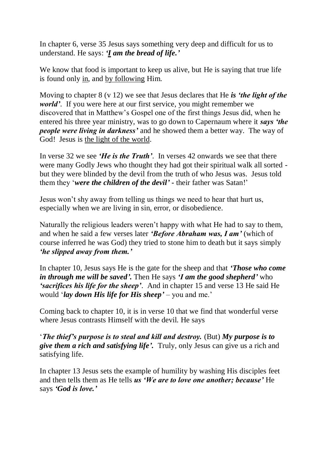In chapter 6, verse 35 Jesus says something very deep and difficult for us to understand. He says: *'I am the bread of life.'*

We know that food is important to keep us alive, but He is saying that true life is found only in, and by following Him.

Moving to chapter 8 (v 12) we see that Jesus declares that He *is 'the light of the world'*. If you were here at our first service, you might remember we discovered that in Matthew's Gospel one of the first things Jesus did, when he entered his three year ministry, was to go down to Capernaum where it *says 'the people were living in darkness'* and he showed them a better way. The way of God! Jesus is the light of the world.

In verse 32 we see *'He is the Truth'*. In verses 42 onwards we see that there were many Godly Jews who thought they had got their spiritual walk all sorted but they were blinded by the devil from the truth of who Jesus was. Jesus told them they '*were the children of the devil'* **-** their father was Satan!'

Jesus won't shy away from telling us things we need to hear that hurt us, especially when we are living in sin, error, or disobedience.

Naturally the religious leaders weren't happy with what He had to say to them, and when he said a few verses later *'Before Abraham was, I am'* (which of course inferred he was God) they tried to stone him to death but it says simply *'he slipped away from them.'*

In chapter 10, Jesus says He is the gate for the sheep and that *'Those who come in through me will be saved'.* Then He says *'I am the good shepherd'* who *'sacrifices his life for the sheep'*. And in chapter 15 and verse 13 He said He would '*lay down His life for His sheep'* – you and me.'

Coming back to chapter 10, it is in verse 10 that we find that wonderful verse where Jesus contrasts Himself with the devil. He says

'*The thief's purpose is to steal and kill and destroy.* (But) *My purpose is to give them a rich and satisfying life'.* Truly, only Jesus can give us a rich and satisfying life.

In chapter 13 Jesus sets the example of humility by washing His disciples feet and then tells them as He tells *us 'We are to love one another; because'* He says *'God is love.'*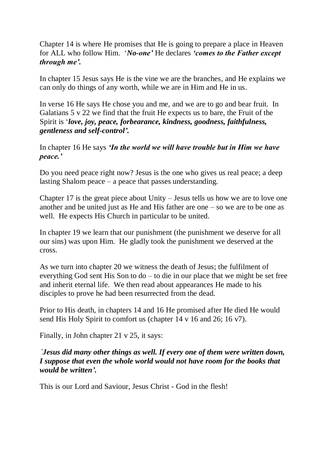Chapter 14 is where He promises that He is going to prepare a place in Heaven for ALL who follow Him. '*No-one'* He declares *'comes to the Father except through me'.*

In chapter 15 Jesus says He is the vine we are the branches, and He explains we can only do things of any worth, while we are in Him and He in us.

In verse 16 He says He chose you and me, and we are to go and bear fruit. In Galatians 5 v 22 we find that the fruit He expects us to bare, the Fruit of the Spirit is '*love, joy, peace, forbearance, kindness, goodness, faithfulness, gentleness and self-control'.*

In chapter 16 He says *'In the world we will have trouble but in Him we have peace.'*

Do you need peace right now? Jesus is the one who gives us real peace; a deep lasting Shalom peace – a peace that passes understanding.

Chapter 17 is the great piece about Unity – Jesus tells us how we are to love one another and be united just as He and His father are one – so we are to be one as well. He expects His Church in particular to be united.

In chapter 19 we learn that our punishment (the punishment we deserve for all our sins) was upon Him. He gladly took the punishment we deserved at the cross.

As we turn into chapter 20 we witness the death of Jesus; the fulfilment of everything God sent His Son to do – to die in our place that we might be set free and inherit eternal life. We then read about appearances He made to his disciples to prove he had been resurrected from the dead.

Prior to His death, in chapters 14 and 16 He promised after He died He would send His Holy Spirit to comfort us (chapter 14 v 16 and 26; 16 v7).

Finally, in John chapter 21 v 25, it says:

*'Jesus did many other things as well. If every one of them were written down, I suppose that even the whole world would not have room for the books that would be written'.*

This is our Lord and Saviour, Jesus Christ - God in the flesh!